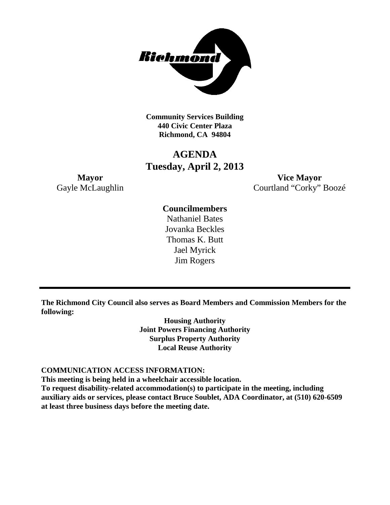

**Community Services Building 440 Civic Center Plaza Richmond, CA 94804**

# **AGENDA Tuesday, April 2, 2013**

**Mayor Vice Mayor** Gayle McLaughlin Courtland "Corky" Boozé

## **Councilmembers**

Nathaniel Bates Jovanka Beckles Thomas K. Butt Jael Myrick Jim Rogers

**The Richmond City Council also serves as Board Members and Commission Members for the following:**

> **Housing Authority Joint Powers Financing Authority Surplus Property Authority Local Reuse Authority**

#### **COMMUNICATION ACCESS INFORMATION:**

**This meeting is being held in a wheelchair accessible location.**

**To request disability-related accommodation(s) to participate in the meeting, including auxiliary aids or services, please contact Bruce Soublet, ADA Coordinator, at (510) 620-6509 at least three business days before the meeting date.**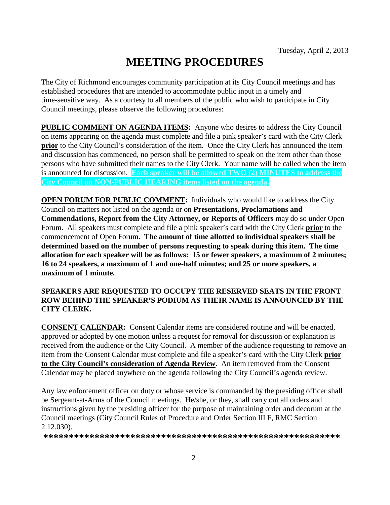# **MEETING PROCEDURES**

The City of Richmond encourages community participation at its City Council meetings and has established procedures that are intended to accommodate public input in a timely and time-sensitive way. As a courtesy to all members of the public who wish to participate in City Council meetings, please observe the following procedures:

**PUBLIC COMMENT ON AGENDA ITEMS:** Anyone who desires to address the City Council on items appearing on the agenda must complete and file a pink speaker's card with the City Clerk **prior** to the City Council's consideration of the item. Once the City Clerk has announced the item and discussion has commenced, no person shall be permitted to speak on the item other than those persons who have submitted their names to the City Clerk. Your name will be called when the item is announced for discussion. **Each speaker will be allowed TWO (2) MINUTES to address the City Council on NON-PUBLIC HEARING items listed on the agenda.**

**OPEN FORUM FOR PUBLIC COMMENT:** Individuals who would like to address the City Council on matters not listed on the agenda or on **Presentations, Proclamations and Commendations, Report from the City Attorney, or Reports of Officers** may do so under Open Forum. All speakers must complete and file a pink speaker's card with the City Clerk **prior** to the commencement of Open Forum. **The amount of time allotted to individual speakers shall be determined based on the number of persons requesting to speak during this item. The time allocation for each speaker will be as follows: 15 or fewer speakers, a maximum of 2 minutes; 16 to 24 speakers, a maximum of 1 and one-half minutes; and 25 or more speakers, a maximum of 1 minute.**

### **SPEAKERS ARE REQUESTED TO OCCUPY THE RESERVED SEATS IN THE FRONT ROW BEHIND THE SPEAKER'S PODIUM AS THEIR NAME IS ANNOUNCED BY THE CITY CLERK.**

**CONSENT CALENDAR:** Consent Calendar items are considered routine and will be enacted, approved or adopted by one motion unless a request for removal for discussion or explanation is received from the audience or the City Council. A member of the audience requesting to remove an item from the Consent Calendar must complete and file a speaker's card with the City Clerk **prior to the City Council's consideration of Agenda Review.** An item removed from the Consent Calendar may be placed anywhere on the agenda following the City Council's agenda review.

Any law enforcement officer on duty or whose service is commanded by the presiding officer shall be Sergeant-at-Arms of the Council meetings. He/she, or they, shall carry out all orders and instructions given by the presiding officer for the purpose of maintaining order and decorum at the Council meetings (City Council Rules of Procedure and Order Section III F, RMC Section 2.12.030).

**\*\*\*\*\*\*\*\*\*\*\*\*\*\*\*\*\*\*\*\*\*\*\*\*\*\*\*\*\*\*\*\*\*\*\*\*\*\*\*\*\*\*\*\*\*\*\*\*\*\*\*\*\*\*\*\*\*\***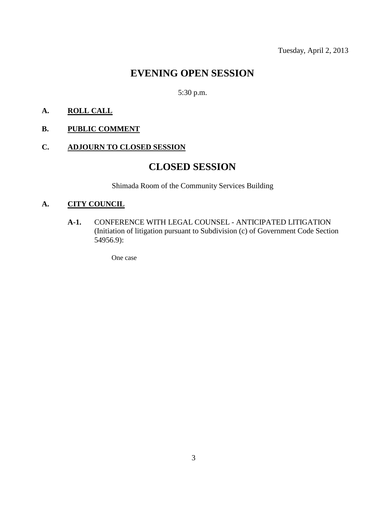# **EVENING OPEN SESSION**

5:30 p.m.

### **A. ROLL CALL**

### **B. PUBLIC COMMENT**

### **C. ADJOURN TO CLOSED SESSION**

# **CLOSED SESSION**

Shimada Room of the Community Services Building

### **A. CITY COUNCIL**

**A-1.** CONFERENCE WITH LEGAL COUNSEL - ANTICIPATED LITIGATION (Initiation of litigation pursuant to Subdivision (c) of Government Code Section 54956.9):

One case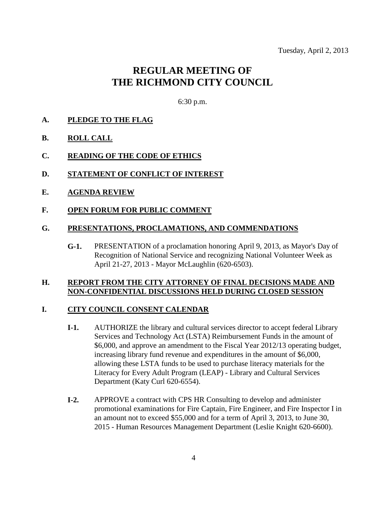# **REGULAR MEETING OF THE RICHMOND CITY COUNCIL**

6:30 p.m.

#### **A. PLEDGE TO THE FLAG**

- **B. ROLL CALL**
- **C. READING OF THE CODE OF ETHICS**
- **D. STATEMENT OF CONFLICT OF INTEREST**
- **E. AGENDA REVIEW**
- **F. OPEN FORUM FOR PUBLIC COMMENT**

#### **G. PRESENTATIONS, PROCLAMATIONS, AND COMMENDATIONS**

**G-1.** PRESENTATION of a proclamation honoring April 9, 2013, as Mayor's Day of Recognition of National Service and recognizing National Volunteer Week as April 21-27, 2013 - Mayor McLaughlin (620-6503).

#### **H. REPORT FROM THE CITY ATTORNEY OF FINAL DECISIONS MADE AND NON-CONFIDENTIAL DISCUSSIONS HELD DURING CLOSED SESSION**

#### **I. CITY COUNCIL CONSENT CALENDAR**

- **I-1.** AUTHORIZE the library and cultural services director to accept federal Library Services and Technology Act (LSTA) Reimbursement Funds in the amount of \$6,000, and approve an amendment to the Fiscal Year 2012/13 operating budget, increasing library fund revenue and expenditures in the amount of \$6,000, allowing these LSTA funds to be used to purchase literacy materials for the Literacy for Every Adult Program (LEAP) - Library and Cultural Services Department (Katy Curl 620-6554).
- **I-2.** APPROVE a contract with CPS HR Consulting to develop and administer promotional examinations for Fire Captain, Fire Engineer, and Fire Inspector I in an amount not to exceed \$55,000 and for a term of April 3, 2013, to June 30, 2015 - Human Resources Management Department (Leslie Knight 620-6600).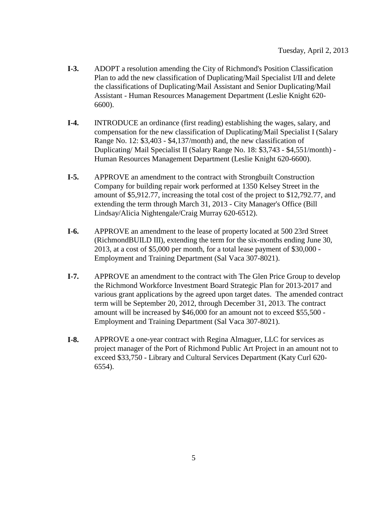- **I-3.** ADOPT a resolution amending the City of Richmond's Position Classification Plan to add the new classification of Duplicating/Mail Specialist I/II and delete the classifications of Duplicating/Mail Assistant and Senior Duplicating/Mail Assistant - Human Resources Management Department (Leslie Knight 620- 6600).
- **I-4.** INTRODUCE an ordinance (first reading) establishing the wages, salary, and compensation for the new classification of Duplicating/Mail Specialist I (Salary Range No. 12: \$3,403 - \$4,137/month) and, the new classification of Duplicating/ Mail Specialist II (Salary Range No. 18: \$3,743 - \$4,551/month) - Human Resources Management Department (Leslie Knight 620-6600).
- **I-5.** APPROVE an amendment to the contract with Strongbuilt Construction Company for building repair work performed at 1350 Kelsey Street in the amount of \$5,912.77, increasing the total cost of the project to \$12,792.77, and extending the term through March 31, 2013 - City Manager's Office (Bill Lindsay/Alicia Nightengale/Craig Murray 620-6512).
- **I-6.** APPROVE an amendment to the lease of property located at 500 23rd Street (RichmondBUILD III), extending the term for the six-months ending June 30, 2013, at a cost of \$5,000 per month, for a total lease payment of \$30,000 - Employment and Training Department (Sal Vaca 307-8021).
- **I-7.** APPROVE an amendment to the contract with The Glen Price Group to develop the Richmond Workforce Investment Board Strategic Plan for 2013-2017 and various grant applications by the agreed upon target dates. The amended contract term will be September 20, 2012, through December 31, 2013. The contract amount will be increased by \$46,000 for an amount not to exceed \$55,500 - Employment and Training Department (Sal Vaca 307-8021).
- **I-8.** APPROVE a one-year contract with Regina Almaguer, LLC for services as project manager of the Port of Richmond Public Art Project in an amount not to exceed \$33,750 - Library and Cultural Services Department (Katy Curl 620- 6554).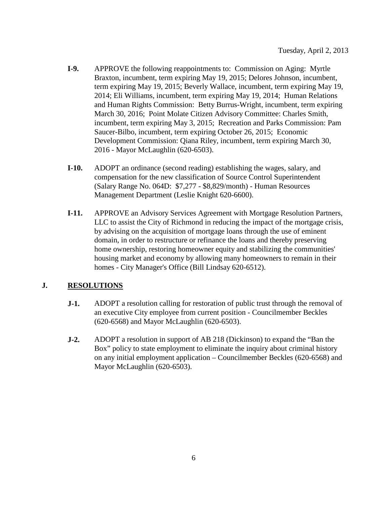- **I-9.** APPROVE the following reappointments to: Commission on Aging: Myrtle Braxton, incumbent, term expiring May 19, 2015; Delores Johnson, incumbent, term expiring May 19, 2015; Beverly Wallace, incumbent, term expiring May 19, 2014; Eli Williams, incumbent, term expiring May 19, 2014; Human Relations and Human Rights Commission: Betty Burrus-Wright, incumbent, term expiring March 30, 2016; Point Molate Citizen Advisory Committee: Charles Smith, incumbent, term expiring May 3, 2015; Recreation and Parks Commission: Pam Saucer-Bilbo, incumbent, term expiring October 26, 2015; Economic Development Commission: Qiana Riley, incumbent, term expiring March 30, 2016 - Mayor McLaughlin (620-6503).
- **I-10.** ADOPT an ordinance (second reading) establishing the wages, salary, and compensation for the new classification of Source Control Superintendent (Salary Range No. 064D: \$7,277 - \$8,829/month) - Human Resources Management Department (Leslie Knight 620-6600).
- **I-11.** APPROVE an Advisory Services Agreement with Mortgage Resolution Partners, LLC to assist the City of Richmond in reducing the impact of the mortgage crisis, by advising on the acquisition of mortgage loans through the use of eminent domain, in order to restructure or refinance the loans and thereby preserving home ownership, restoring homeowner equity and stabilizing the communities' housing market and economy by allowing many homeowners to remain in their homes - City Manager's Office (Bill Lindsay 620-6512).

### **J. RESOLUTIONS**

- **J-1.** ADOPT a resolution calling for restoration of public trust through the removal of an executive City employee from current position - Councilmember Beckles (620-6568) and Mayor McLaughlin (620-6503).
- **J-2.** ADOPT a resolution in support of AB 218 (Dickinson) to expand the "Ban the Box" policy to state employment to eliminate the inquiry about criminal history on any initial employment application – Councilmember Beckles (620-6568) and Mayor McLaughlin (620-6503).